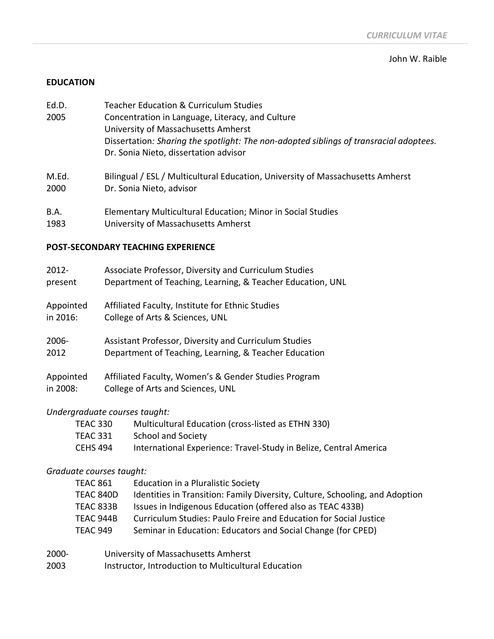#### John W. Raible

### **EDUCATION**

- Ed.D. Teacher Education & Curriculum Studies 2005 Concentration in Language, Literacy, and Culture University of Massachusetts Amherst Dissertation*: Sharing the spotlight: The non-adopted siblings of transracial adoptees.* Dr. Sonia Nieto, dissertation advisor
- M.Ed. Bilingual / ESL / Multicultural Education, University of Massachusetts Amherst 2000 Dr. Sonia Nieto, advisor
- B.A. Elementary Multicultural Education; Minor in Social Studies
- 1983 University of Massachusetts Amherst

# **POST-SECONDARY TEACHING EXPERIENCE**

| $2012 -$  | Associate Professor, Diversity and Curriculum Studies      |
|-----------|------------------------------------------------------------|
| present   | Department of Teaching, Learning, & Teacher Education, UNL |
| Appointed | Affiliated Faculty, Institute for Ethnic Studies           |
| in 2016:  | College of Arts & Sciences, UNL                            |
| $2006 -$  | Assistant Professor, Diversity and Curriculum Studies      |
| 2012      | Department of Teaching, Learning, & Teacher Education      |
| Appointed | Affiliated Faculty, Women's & Gender Studies Program       |
| in 2008:  | College of Arts and Sciences, UNL                          |

# *Undergraduate courses taught:*

| TEAC 330 | Multicultural Education (cross-listed as ETHN 330)                |
|----------|-------------------------------------------------------------------|
| TEAC 331 | School and Society                                                |
| CEHS 494 | International Experience: Travel-Study in Belize, Central America |

### *Graduate courses taught:*

| TEAC 861  | Education in a Pluralistic Society                                           |
|-----------|------------------------------------------------------------------------------|
| TEAC 840D | Identities in Transition: Family Diversity, Culture, Schooling, and Adoption |
| TEAC 833B | Issues in Indigenous Education (offered also as TEAC 433B)                   |
| TEAC 944B | Curriculum Studies: Paulo Freire and Education for Social Justice            |
| TEAC 949  | Seminar in Education: Educators and Social Change (for CPED)                 |
|           |                                                                              |

- 2000- University of Massachusetts Amherst
- 2003 Instructor, Introduction to Multicultural Education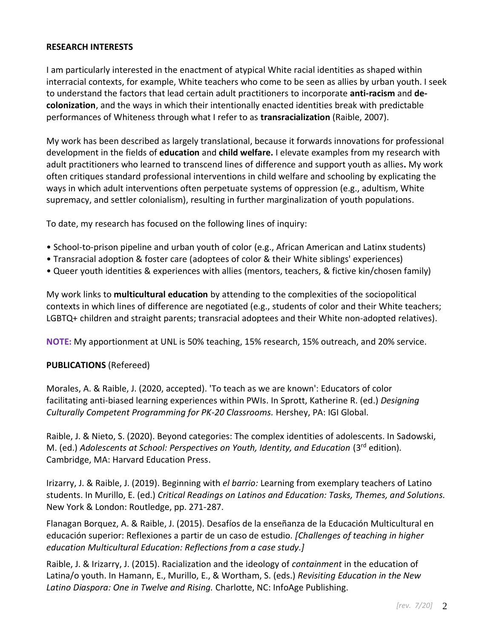# **RESEARCH INTERESTS**

I am particularly interested in the enactment of atypical White racial identities as shaped within interracial contexts, for example, White teachers who come to be seen as allies by urban youth. I seek to understand the factors that lead certain adult practitioners to incorporate **anti-racism** and **decolonization**, and the ways in which their intentionally enacted identities break with predictable performances of Whiteness through what I refer to as **transracialization** (Raible, 2007).

My work has been described as largely translational, because it forwards innovations for professional development in the fields of **education** and **child welfare.** I elevate examples from my research with adult practitioners who learned to transcend lines of difference and support youth as allies**.** My work often critiques standard professional interventions in child welfare and schooling by explicating the ways in which adult interventions often perpetuate systems of oppression (e.g., adultism, White supremacy, and settler colonialism), resulting in further marginalization of youth populations.

To date, my research has focused on the following lines of inquiry:

- School-to-prison pipeline and urban youth of color (e.g., African American and Latinx students)
- Transracial adoption & foster care (adoptees of color & their White siblings' experiences)
- Queer youth identities & experiences with allies (mentors, teachers, & fictive kin/chosen family)

My work links to **multicultural education** by attending to the complexities of the sociopolitical contexts in which lines of difference are negotiated (e.g., students of color and their White teachers; LGBTQ+ children and straight parents; transracial adoptees and their White non-adopted relatives).

**NOTE:** My apportionment at UNL is 50% teaching, 15% research, 15% outreach, and 20% service.

### **PUBLICATIONS** (Refereed)

Morales, A. & Raible, J. (2020, accepted). 'To teach as we are known': Educators of color facilitating anti-biased learning experiences within PWIs. In Sprott, Katherine R. (ed.) *Designing Culturally Competent Programming for PK-20 Classrooms.* Hershey, PA: IGI Global.

Raible, J. & Nieto, S. (2020). Beyond categories: The complex identities of adolescents. In Sadowski, M. (ed.) *Adolescents at School: Perspectives on Youth, Identity, and Education* (3rd edition)*.*  Cambridge, MA: Harvard Education Press.

Irizarry, J. & Raible, J. (2019). Beginning with *el barrio:* Learning from exemplary teachers of Latino students. In Murillo, E. (ed.) *Critical Readings on Latinos and Education: Tasks, Themes, and Solutions.* New York & London: Routledge, pp. 271-287.

Flanagan Borquez, A. & Raible, J. (2015). Desafíos de la enseñanza de la Educación Multicultural en educación superior: Reflexiones a partir de un caso de estudio. *[Challenges of teaching in higher education Multicultural Education: Reflections from a case study.]*

Raible, J. & Irizarry, J. (2015). Racialization and the ideology of *containment* in the education of Latina/o youth. In Hamann, E., Murillo, E., & Wortham, S. (eds.) *Revisiting Education in the New Latino Diaspora: One in Twelve and Rising.* Charlotte, NC: InfoAge Publishing.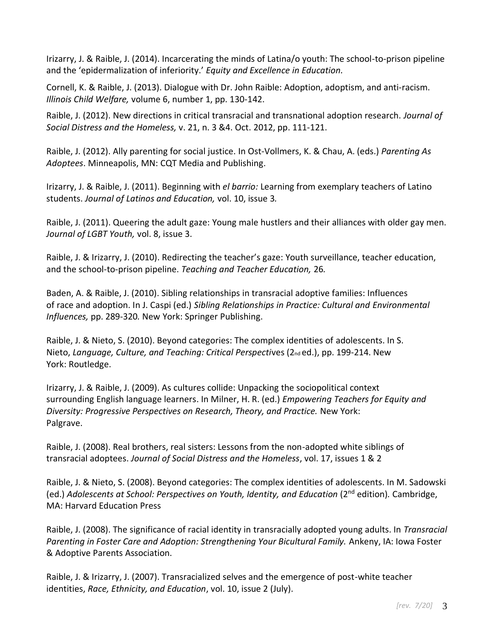Irizarry, J. & Raible, J. (2014). Incarcerating the minds of Latina/o youth: The school-to-prison pipeline and the 'epidermalization of inferiority.' *Equity and Excellence in Education.*

Cornell, K. & Raible, J. (2013). Dialogue with Dr. John Raible: Adoption, adoptism, and anti-racism. *Illinois Child Welfare,* volume 6, number 1, pp. 130-142.

Raible, J. (2012). New directions in critical transracial and transnational adoption research. *Journal of Social Distress and the Homeless,* v. 21, n. 3 &4. Oct. 2012, pp. 111-121.

Raible, J. (2012). Ally parenting for social justice. In Ost-Vollmers, K. & Chau, A. (eds.) *Parenting As Adoptees*. Minneapolis, MN: CQT Media and Publishing.

Irizarry, J. & Raible, J. (2011). Beginning with *el barrio:* Learning from exemplary teachers of Latino students. *Journal of Latinos and Education,* vol. 10, issue 3*.*

Raible, J. (2011). Queering the adult gaze: Young male hustlers and their alliances with older gay men. *Journal of LGBT Youth,* vol. 8, issue 3.

Raible, J. & Irizarry, J. (2010). Redirecting the teacher's gaze: Youth surveillance, teacher education, and the school-to-prison pipeline. *Teaching and Teacher Education,* 26*.*

Baden, A. & Raible, J. (2010). Sibling relationships in transracial adoptive families: Influences of race and adoption. In J. Caspi (ed.) *Sibling Relationships in Practice: Cultural and Environmental Influences,* pp. 289-320*.* New York: Springer Publishing.

Raible, J. & Nieto, S. (2010). Beyond categories: The complex identities of adolescents. In S. Nieto, *Language, Culture, and Teaching: Critical Perspectives* (2<sub>nd</sub> ed.), pp. 199-214. New York: Routledge.

Irizarry, J. & Raible, J. (2009). As cultures collide: Unpacking the sociopolitical context surrounding English language learners. In Milner, H. R. (ed.) *Empowering Teachers for Equity and Diversity: Progressive Perspectives on Research, Theory, and Practice.* New York: Palgrave.

Raible, J. (2008). Real brothers, real sisters: Lessons from the non-adopted white siblings of transracial adoptees. *Journal of Social Distress and the Homeless*, vol. 17, issues 1 & 2

Raible, J. & Nieto, S. (2008). Beyond categories: The complex identities of adolescents. In M. Sadowski (ed.) *Adolescents at School: Perspectives on Youth, Identity, and Education* (2nd edition)*.* Cambridge, MA: Harvard Education Press

Raible, J. (2008). The significance of racial identity in transracially adopted young adults. In *Transracial Parenting in Foster Care and Adoption: Strengthening Your Bicultural Family.* Ankeny, IA: Iowa Foster & Adoptive Parents Association.

Raible, J. & Irizarry, J. (2007). Transracialized selves and the emergence of post-white teacher identities, *Race, Ethnicity, and Education*, vol. 10, issue 2 (July).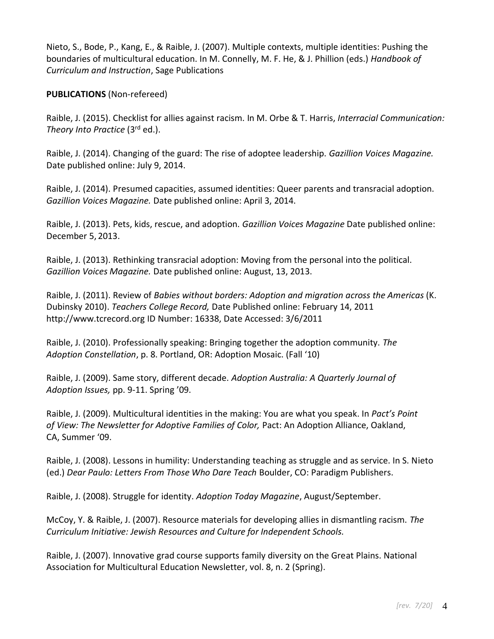Nieto, S., Bode, P., Kang, E., & Raible, J. (2007). Multiple contexts, multiple identities: Pushing the boundaries of multicultural education. In M. Connelly, M. F. He, & J. Phillion (eds.) *Handbook of Curriculum and Instruction*, Sage Publications

# **PUBLICATIONS** (Non-refereed)

Raible, J. (2015). Checklist for allies against racism. In M. Orbe & T. Harris, *Interracial Communication: Theory Into Practice* (3rd ed.).

Raible, J. (2014). Changing of the guard: The rise of adoptee leadership. *Gazillion Voices Magazine.*  Date published online: July 9, 2014.

Raible, J. (2014). Presumed capacities, assumed identities: Queer parents and transracial adoption. *Gazillion Voices Magazine.* Date published online: April 3, 2014.

Raible, J. (2013). Pets, kids, rescue, and adoption. *Gazillion Voices Magazine* Date published online: December 5, 2013.

Raible, J. (2013). Rethinking transracial adoption: Moving from the personal into the political. *Gazillion Voices Magazine.* Date published online: August, 13, 2013.

Raible, J. (2011). Review of *Babies without borders: Adoption and migration across the Americas* (K. Dubinsky 2010). *Teachers College Record,* Date Published online: February 14, 2011 http://www.tcrecord.org ID Number: 16338, Date Accessed: 3/6/2011

Raible, J. (2010). Professionally speaking: Bringing together the adoption community. *The Adoption Constellation*, p. 8. Portland, OR: Adoption Mosaic. (Fall '10)

Raible, J. (2009). Same story, different decade. *Adoption Australia: A Quarterly Journal of Adoption Issues,* pp. 9-11. Spring '09.

Raible, J. (2009). Multicultural identities in the making: You are what you speak. In *Pact's Point* of View: The Newsletter for Adoptive Families of Color, Pact: An Adoption Alliance, Oakland, CA, Summer '09.

Raible, J. (2008). Lessons in humility: Understanding teaching as struggle and as service. In S. Nieto (ed.) *Dear Paulo: Letters From Those Who Dare Teach* Boulder, CO: Paradigm Publishers.

Raible, J. (2008). Struggle for identity. *Adoption Today Magazine*, August/September.

McCoy, Y. & Raible, J. (2007). Resource materials for developing allies in dismantling racism. *The Curriculum Initiative: Jewish Resources and Culture for Independent Schools.*

Raible, J. (2007). Innovative grad course supports family diversity on the Great Plains. National Association for Multicultural Education Newsletter, vol. 8, n. 2 (Spring).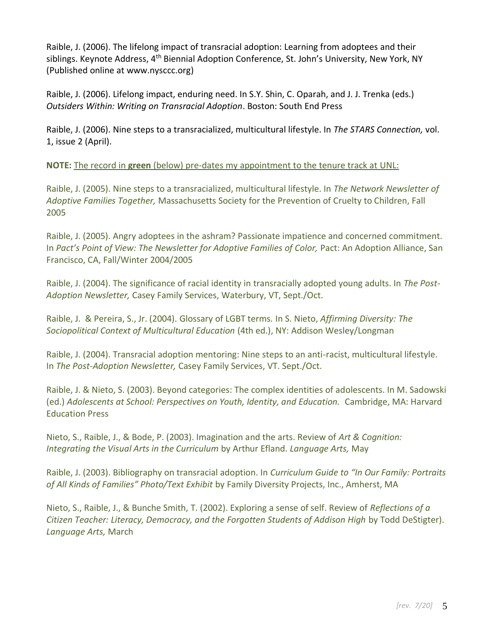Raible, J. (2006). The lifelong impact of transracial adoption: Learning from adoptees and their siblings. Keynote Address, 4<sup>th</sup> Biennial Adoption Conference, St. John's University, New York, NY (Published online at [www.nysccc.org\)](http://www.nysccc.org/)

Raible, J. (2006). Lifelong impact, enduring need. In S.Y. Shin, C. Oparah, and J. J. Trenka (eds.) *Outsiders Within: Writing on Transracial Adoption*. Boston: South End Press

Raible, J. (2006). Nine steps to a transracialized, multicultural lifestyle. In *The STARS Connection,* vol. 1, issue 2 (April).

**NOTE:** The record in **green** (below) pre-dates my appointment to the tenure track at UNL:

Raible, J. (2005). Nine steps to a transracialized, multicultural lifestyle. In *The Network Newsletter of Adoptive Families Together,* Massachusetts Society for the Prevention of Cruelty to Children, Fall 2005

Raible, J. (2005). Angry adoptees in the ashram? Passionate impatience and concerned commitment. In Pact's Point of View: The Newsletter for Adoptive Families of Color, Pact: An Adoption Alliance, San Francisco, CA, Fall/Winter 2004/2005

Raible, J. (2004). The significance of racial identity in transracially adopted young adults. In *The Post-Adoption Newsletter,* Casey Family Services, Waterbury, VT, Sept./Oct.

Raible, J. & Pereira, S., Jr. (2004). Glossary of LGBT terms*.* In S. Nieto, *Affirming Diversity: The Sociopolitical Context of Multicultural Education* (4th ed.), NY: Addison Wesley/Longman

Raible, J. (2004). Transracial adoption mentoring: Nine steps to an anti-racist, multicultural lifestyle. In *The Post-Adoption Newsletter,* Casey Family Services, VT. Sept./Oct.

Raible, J. & Nieto, S. (2003). Beyond categories: The complex identities of adolescents. In M. Sadowski (ed.) *Adolescents at School: Perspectives on Youth, Identity, and Education.* Cambridge, MA: Harvard Education Press

Nieto, S., Raible, J., & Bode, P. (2003). Imagination and the arts. Review of *Art & Cognition: Integrating the Visual Arts in the Curriculum* by Arthur Efland. *Language Arts,* May

Raible, J. (2003). Bibliography on transracial adoption. In *Curriculum Guide to "In Our Family: Portraits of All Kinds of Families" Photo/Text Exhibit* by Family Diversity Projects, Inc., Amherst, MA

Nieto, S., Raible, J., & Bunche Smith, T. (2002). Exploring a sense of self. Review of *Reflections of a Citizen Teacher: Literacy, Democracy, and the Forgotten Students of Addison High* by Todd DeStigter). *Language Arts,* March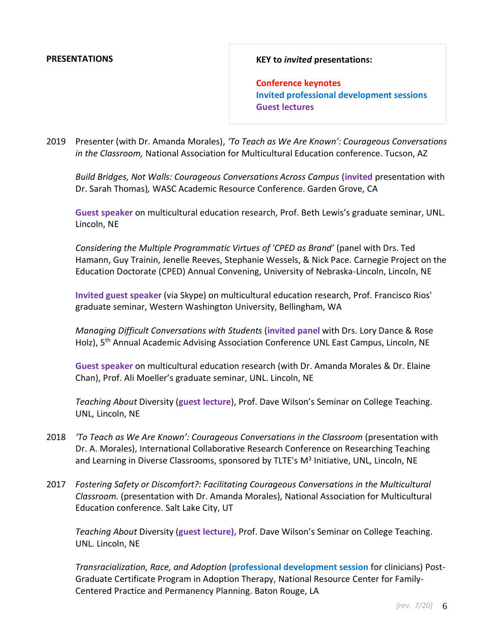#### **PRESENTATIONS**

#### **KEY to** *invited* **presentations:**

**Conference keynotes Invited professional development sessions Guest lectures**

2019 Presenter (with Dr. Amanda Morales), *'To Teach as We Are Known': Courageous Conversations in the Classroom,* National Association for Multicultural Education conference. Tucson, AZ

*Build Bridges, Not Walls: Courageous Conversations Across Campus* (**invited** presentation with Dr. Sarah Thomas)*,* WASC Academic Resource Conference. Garden Grove, CA

**Guest speaker** on multicultural education research, Prof. Beth Lewis's graduate seminar, UNL. Lincoln, NE

*Considering the Multiple Programmatic Virtues of 'CPED as Brand'* (panel with Drs. Ted Hamann, Guy Trainin, Jenelle Reeves, Stephanie Wessels, & Nick Pace. Carnegie Project on the Education Doctorate (CPED) Annual Convening, University of Nebraska-Lincoln, Lincoln, NE

**Invited guest speaker** (via Skype) on multicultural education research, Prof. Francisco Rios' graduate seminar, Western Washington University, Bellingham, WA

*Managing Difficult Conversations with Students* (**invited panel** with Drs. Lory Dance & Rose Holz), 5<sup>th</sup> Annual Academic Advising Association Conference UNL East Campus, Lincoln, NE

**Guest speaker** on multicultural education research (with Dr. Amanda Morales & Dr. Elaine Chan), Prof. Ali Moeller's graduate seminar, UNL. Lincoln, NE

*Teaching About* Diversity (**guest lecture**), Prof. Dave Wilson's Seminar on College Teaching. UNL, Lincoln, NE

- 2018 *'To Teach as We Are Known': Courageous Conversations in the Classroom* (presentation with Dr. A. Morales), International Collaborative Research Conference on Researching Teaching and Learning in Diverse Classrooms, sponsored by TLTE's M<sup>3</sup> Initiative, UNL, Lincoln, NE
- 2017 *Fostering Safety or Discomfort?: Facilitating Courageous Conversations in the Multicultural Classroom.* (presentation with Dr. Amanda Morales), National Association for Multicultural Education conference. Salt Lake City, UT

*Teaching About* Diversity (**guest lecture),** Prof. Dave Wilson's Seminar on College Teaching. UNL. Lincoln, NE

*Transracialization, Race, and Adoption* (**professional development session** for clinicians) Post-Graduate Certificate Program in Adoption Therapy, National Resource Center for Family-Centered Practice and Permanency Planning. Baton Rouge, LA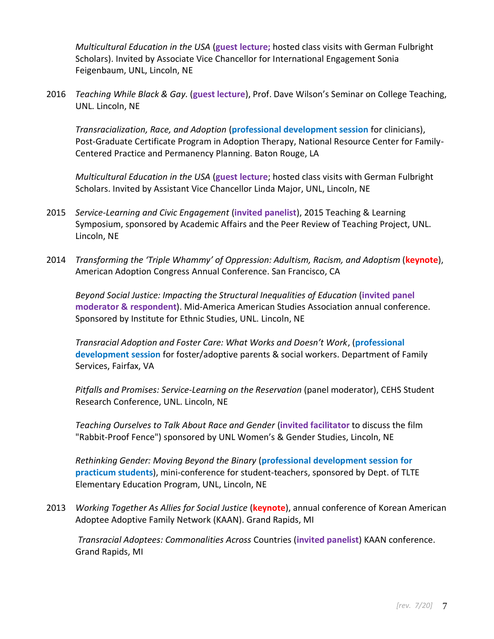*Multicultural Education in the USA* (**guest lecture;** hosted class visits with German Fulbright Scholars). Invited by Associate Vice Chancellor for International Engagement Sonia Feigenbaum, UNL, Lincoln, NE

2016 *Teaching While Black & Gay.* (**guest lecture**), Prof. Dave Wilson's Seminar on College Teaching, UNL. Lincoln, NE

*Transracialization, Race, and Adoption* (**professional development session** for clinicians), Post-Graduate Certificate Program in Adoption Therapy, National Resource Center for Family-Centered Practice and Permanency Planning. Baton Rouge, LA

*Multicultural Education in the USA* (**guest lecture**; hosted class visits with German Fulbright Scholars. Invited by Assistant Vice Chancellor Linda Major, UNL, Lincoln, NE

- 2015 *Service-Learning and Civic Engagement* (**invited panelist**), 2015 Teaching & Learning Symposium, sponsored by Academic Affairs and the Peer Review of Teaching Project, UNL. Lincoln, NE
- 2014 *Transforming the 'Triple Whammy' of Oppression: Adultism, Racism, and Adoptism* (**keynote**), American Adoption Congress Annual Conference. San Francisco, CA

*Beyond Social Justice: Impacting the Structural Inequalities of Education* (**invited panel moderator & respondent**). Mid-America American Studies Association annual conference. Sponsored by Institute for Ethnic Studies, UNL. Lincoln, NE

*Transracial Adoption and Foster Care: What Works and Doesn't Work*, (**professional development session** for foster/adoptive parents & social workers. Department of Family Services, Fairfax, VA

*Pitfalls and Promises: Service-Learning on the Reservation* (panel moderator), CEHS Student Research Conference, UNL. Lincoln, NE

*Teaching Ourselves to Talk About Race and Gender* (**invited facilitator** to discuss the film "Rabbit-Proof Fence") sponsored by UNL Women's & Gender Studies, Lincoln, NE

*Rethinking Gender: Moving Beyond the Binary* (**professional development session for practicum students**), mini-conference for student-teachers, sponsored by Dept. of TLTE Elementary Education Program, UNL, Lincoln, NE

2013 *Working Together As Allies for Social Justice* (**keynote**), annual conference of Korean American Adoptee Adoptive Family Network (KAAN). Grand Rapids, MI

*Transracial Adoptees: Commonalities Across* Countries (**invited panelist**) KAAN conference. Grand Rapids, MI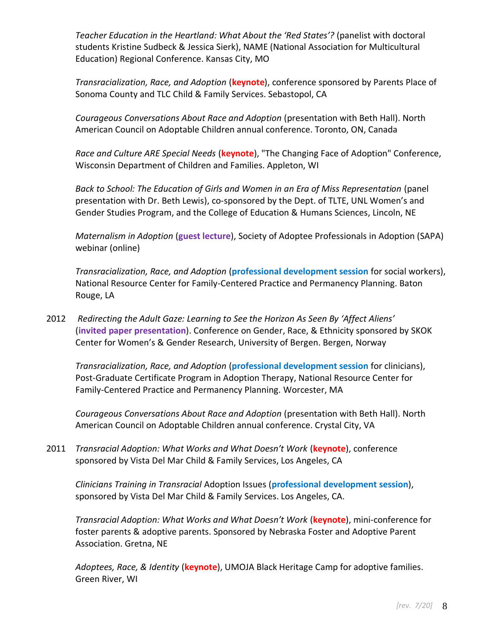*Teacher Education in the Heartland: What About the 'Red States'?* (panelist with doctoral students Kristine Sudbeck & Jessica Sierk), NAME (National Association for Multicultural Education) Regional Conference. Kansas City, MO

*Transracialization, Race, and Adoption* (**keynote**), conference sponsored by Parents Place of Sonoma County and TLC Child & Family Services. Sebastopol, CA

*Courageous Conversations About Race and Adoption* (presentation with Beth Hall). North American Council on Adoptable Children annual conference. Toronto, ON, Canada

*Race and Culture ARE Special Needs* (**keynote**), "The Changing Face of Adoption" Conference, Wisconsin Department of Children and Families. Appleton, WI

*Back to School: The Education of Girls and Women in an Era of Miss Representation* (panel presentation with Dr. Beth Lewis), co-sponsored by the Dept. of TLTE, UNL Women's and Gender Studies Program, and the College of Education & Humans Sciences, Lincoln, NE

*Maternalism in Adoption* (**guest lecture**), Society of Adoptee Professionals in Adoption (SAPA) webinar (online)

*Transracialization, Race, and Adoption* (**professional development session** for social workers), National Resource Center for Family-Centered Practice and Permanency Planning. Baton Rouge, LA

2012 *Redirecting the Adult Gaze: Learning to See the Horizon As Seen By 'Affect Aliens'* (**invited paper presentation**). Conference on Gender, Race, & Ethnicity sponsored by SKOK Center for Women's & Gender Research, University of Bergen. Bergen, Norway

*Transracialization, Race, and Adoption* (**professional development session** for clinicians), Post-Graduate Certificate Program in Adoption Therapy, National Resource Center for Family-Centered Practice and Permanency Planning. Worcester, MA

*Courageous Conversations About Race and Adoption* (presentation with Beth Hall). North American Council on Adoptable Children annual conference. Crystal City, VA

2011 *Transracial Adoption: What Works and What Doesn't Work* (**keynote**), conference sponsored by Vista Del Mar Child & Family Services, Los Angeles, CA

*Clinicians Training in Transracial* Adoption Issues (**professional development session**), sponsored by Vista Del Mar Child & Family Services. Los Angeles, CA.

*Transracial Adoption: What Works and What Doesn't Work* (**keynote**), mini-conference for foster parents & adoptive parents. Sponsored by Nebraska Foster and Adoptive Parent Association. Gretna, NE

*Adoptees, Race, & Identity* (**keynote**), UMOJA Black Heritage Camp for adoptive families. Green River, WI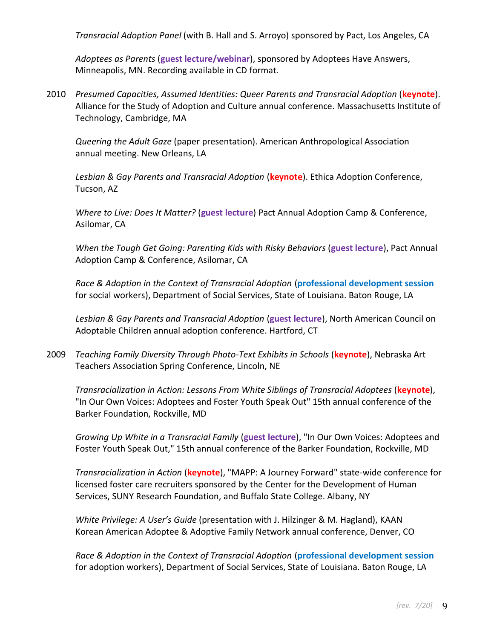*Transracial Adoption Panel* (with B. Hall and S. Arroyo) sponsored by Pact, Los Angeles, CA

*Adoptees as Parents* (**guest lecture/webinar**), sponsored by Adoptees Have Answers, Minneapolis, MN. Recording available in CD format.

2010 *Presumed Capacities, Assumed Identities: Queer Parents and Transracial Adoption* (**keynote**). Alliance for the Study of Adoption and Culture annual conference. Massachusetts Institute of Technology, Cambridge, MA

*Queering the Adult Gaze* (paper presentation). American Anthropological Association annual meeting. New Orleans, LA

*Lesbian & Gay Parents and Transracial Adoption* (**keynote**). Ethica Adoption Conference, Tucson, AZ

*Where to Live: Does It Matter?* (**guest lecture**) Pact Annual Adoption Camp & Conference, Asilomar, CA

*When the Tough Get Going: Parenting Kids with Risky Behaviors* (**guest lecture**), Pact Annual Adoption Camp & Conference, Asilomar, CA

*Race & Adoption in the Context of Transracial Adoption* (**professional development session** for social workers), Department of Social Services, State of Louisiana. Baton Rouge, LA

*Lesbian & Gay Parents and Transracial Adoption* (**guest lecture**), North American Council on Adoptable Children annual adoption conference. Hartford, CT

2009 *Teaching Family Diversity Through Photo-Text Exhibits in Schools* (**keynote**), Nebraska Art Teachers Association Spring Conference, Lincoln, NE

*Transracialization in Action: Lessons From White Siblings of Transracial Adoptees* (**keynote**), "In Our Own Voices: Adoptees and Foster Youth Speak Out" 15th annual conference of the Barker Foundation, Rockville, MD

*Growing Up White in a Transracial Family* (**guest lecture**), "In Our Own Voices: Adoptees and Foster Youth Speak Out," 15th annual conference of the Barker Foundation, Rockville, MD

*Transracialization in Action* (**keynote**), "MAPP: A Journey Forward" state-wide conference for licensed foster care recruiters sponsored by the Center for the Development of Human Services, SUNY Research Foundation, and Buffalo State College. Albany, NY

*White Privilege: A User's Guide* (presentation with J. Hilzinger & M. Hagland), KAAN Korean American Adoptee & Adoptive Family Network annual conference, Denver, CO

*Race & Adoption in the Context of Transracial Adoption* (**professional development session** for adoption workers), Department of Social Services, State of Louisiana. Baton Rouge, LA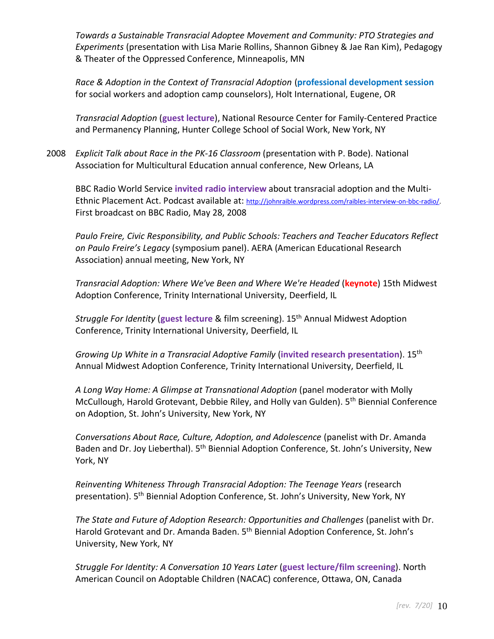*Towards a Sustainable Transracial Adoptee Movement and Community: PTO Strategies and Experiments* (presentation with Lisa Marie Rollins, Shannon Gibney & Jae Ran Kim), Pedagogy & Theater of the Oppressed Conference, Minneapolis, MN

*Race & Adoption in the Context of Transracial Adoption* (**professional development session** for social workers and adoption camp counselors), Holt International, Eugene, OR

*Transracial Adoption* (**guest lecture**), National Resource Center for Family-Centered Practice and Permanency Planning, Hunter College School of Social Work, New York, NY

2008 *Explicit Talk about Race in the PK-16 Classroom* (presentation with P. Bode). National Association for Multicultural Education annual conference, New Orleans, LA

BBC Radio World Service **invited radio interview** about transracial adoption and the Multi-Ethnic Placement Act. Podcast available at: [http://johnraible.wordpress.com/raibles-interview-on-bbc-radio/.](http://johnraible.wordpress.com/raibles-interview-on-bbc-radio/) First broadcast on BBC Radio, May 28, 2008

*Paulo Freire, Civic Responsibility, and Public Schools: Teachers and Teacher Educators Reflect on Paulo Freire's Legacy* (symposium panel). AERA (American Educational Research Association) annual meeting, New York, NY

*Transracial Adoption: Where We've Been and Where We're Headed* (**keynote**) 15th Midwest Adoption Conference, Trinity International University, Deerfield, IL

*Struggle For Identity* (**guest lecture** & film screening). 15th Annual Midwest Adoption Conference, Trinity International University, Deerfield, IL

*Growing Up White in a Transracial Adoptive Family* (**invited research presentation**). 15th Annual Midwest Adoption Conference, Trinity International University, Deerfield, IL

*A Long Way Home: A Glimpse at Transnational Adoption* (panel moderator with Molly McCullough, Harold Grotevant, Debbie Riley, and Holly van Gulden). 5th Biennial Conference on Adoption, St. John's University, New York, NY

*Conversations About Race, Culture, Adoption, and Adolescence* (panelist with Dr. Amanda Baden and Dr. Joy Lieberthal). 5<sup>th</sup> Biennial Adoption Conference, St. John's University, New York, NY

*Reinventing Whiteness Through Transracial Adoption: The Teenage Years* (research presentation). 5<sup>th</sup> Biennial Adoption Conference, St. John's University, New York, NY

*The State and Future of Adoption Research: Opportunities and Challenges* (panelist with Dr. Harold Grotevant and Dr. Amanda Baden. 5<sup>th</sup> Biennial Adoption Conference, St. John's University, New York, NY

*Struggle For Identity: A Conversation 10 Years Later* (**guest lecture/film screening**). North American Council on Adoptable Children (NACAC) conference, Ottawa, ON, Canada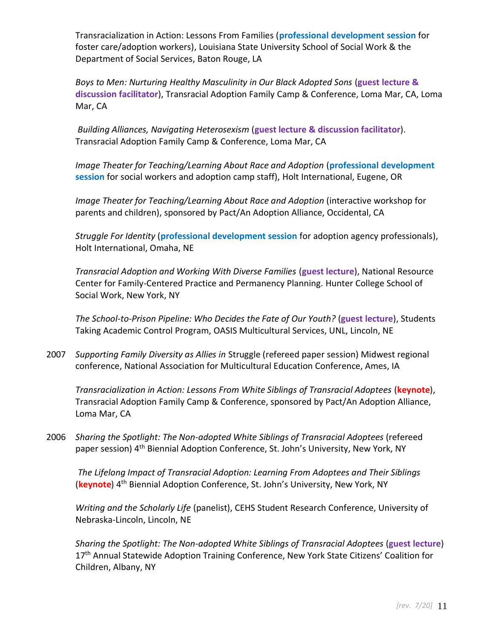Transracialization in Action: Lessons From Families (**professional development session** for foster care/adoption workers), Louisiana State University School of Social Work & the Department of Social Services, Baton Rouge, LA

*Boys to Men: Nurturing Healthy Masculinity in Our Black Adopted Sons* (**guest lecture & discussion facilitator**), Transracial Adoption Family Camp & Conference, Loma Mar, CA, Loma Mar, CA

*Building Alliances, Navigating Heterosexism* (**guest lecture & discussion facilitator**). Transracial Adoption Family Camp & Conference, Loma Mar, CA

*Image Theater for Teaching/Learning About Race and Adoption* (**professional development session** for social workers and adoption camp staff), Holt International, Eugene, OR

*Image Theater for Teaching/Learning About Race and Adoption* (interactive workshop for parents and children), sponsored by Pact/An Adoption Alliance, Occidental, CA

*Struggle For Identity* (**professional development session** for adoption agency professionals), Holt International, Omaha, NE

*Transracial Adoption and Working With Diverse Families* (**guest lecture**), National Resource Center for Family-Centered Practice and Permanency Planning. Hunter College School of Social Work, New York, NY

*The School-to-Prison Pipeline: Who Decides the Fate of Our Youth?* (**guest lecture**), Students Taking Academic Control Program, OASIS Multicultural Services, UNL, Lincoln, NE

2007 *Supporting Family Diversity as Allies in* Struggle (refereed paper session) Midwest regional conference, National Association for Multicultural Education Conference, Ames, IA

*Transracialization in Action: Lessons From White Siblings of Transracial Adoptees* (**keynote**), Transracial Adoption Family Camp & Conference, sponsored by Pact/An Adoption Alliance, Loma Mar, CA

2006 *Sharing the Spotlight: The Non-adopted White Siblings of Transracial Adoptees* (refereed paper session) 4<sup>th</sup> Biennial Adoption Conference, St. John's University, New York, NY

*The Lifelong Impact of Transracial Adoption: Learning From Adoptees and Their Siblings* (**keynote**) 4th Biennial Adoption Conference, St. John's University, New York, NY

*Writing and the Scholarly Life* (panelist), CEHS Student Research Conference, University of Nebraska-Lincoln, Lincoln, NE

*Sharing the Spotlight: The Non-adopted White Siblings of Transracial Adoptees* (**guest lecture**) 17<sup>th</sup> Annual Statewide Adoption Training Conference, New York State Citizens' Coalition for Children, Albany, NY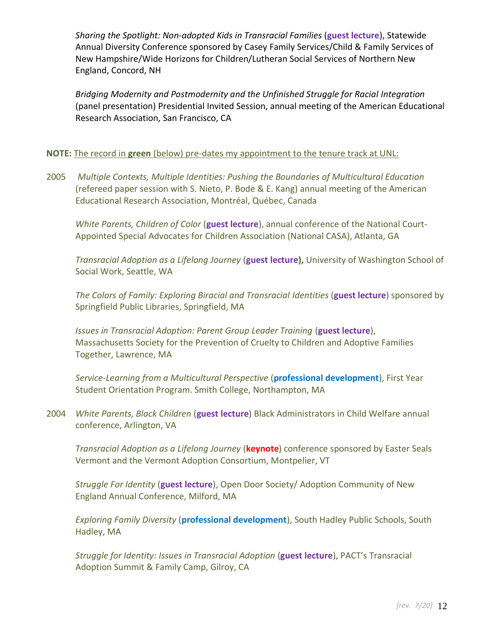*Sharing the Spotlight: Non-adopted Kids in Transracial Families* (**guest lecture**), Statewide Annual Diversity Conference sponsored by Casey Family Services/Child & Family Services of New Hampshire/Wide Horizons for Children/Lutheran Social Services of Northern New England, Concord, NH

*Bridging Modernity and Postmodernity and the Unfinished Struggle for Racial Integration* (panel presentation) Presidential Invited Session, annual meeting of the American Educational Research Association, San Francisco, CA

# **NOTE:** The record in **green** (below) pre-dates my appointment to the tenure track at UNL:

2005 *Multiple Contexts, Multiple Identities: Pushing the Boundaries of Multicultural Education* (refereed paper session with S. Nieto, P. Bode & E. Kang) annual meeting of the American Educational Research Association, Montréal, Québec, Canada

*White Parents, Children of Color* (**guest lecture**), annual conference of the National Court-Appointed Special Advocates for Children Association (National CASA), Atlanta, GA

*Transracial Adoption as a Lifelong Journey* (**guest lecture),** University of Washington School of Social Work, Seattle, WA

*The Colors of Family: Exploring Biracial and Transracial Identities* (**guest lecture**) sponsored by Springfield Public Libraries, Springfield, MA

*Issues in Transracial Adoption: Parent Group Leader Training* (**guest lecture**), Massachusetts Society for the Prevention of Cruelty to Children and Adoptive Families Together, Lawrence, MA

*Service-Learning from a Multicultural Perspective* (**professional development**), First Year Student Orientation Program. Smith College, Northampton, MA

2004 *White Parents, Black Children* (**guest lecture**) Black Administrators in Child Welfare annual conference, Arlington, VA

*Transracial Adoption as a Lifelong Journey* (**keynote**) conference sponsored by Easter Seals Vermont and the Vermont Adoption Consortium, Montpelier, VT

*Struggle For Identity* (**guest lecture**), Open Door Society/ Adoption Community of New England Annual Conference, Milford, MA

*Exploring Family Diversity* (**professional development**), South Hadley Public Schools, South Hadley, MA

*Struggle for Identity: Issues in Transracial Adoption* (**guest lecture**), PACT's Transracial Adoption Summit & Family Camp, Gilroy, CA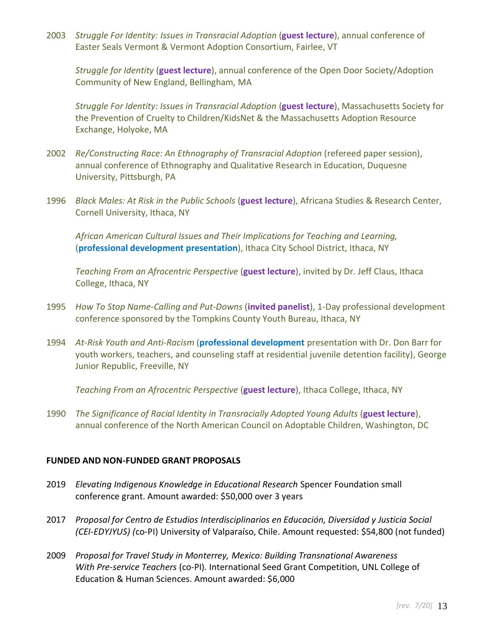2003 *Struggle For Identity: Issues in Transracial Adoption* (**guest lecture**), annual conference of Easter Seals Vermont & Vermont Adoption Consortium, Fairlee, VT

*Struggle for Identity* (**guest lecture**), annual conference of the Open Door Society/Adoption Community of New England, Bellingham, MA

*Struggle For Identity: Issues in Transracial Adoption* (**guest lecture**), Massachusetts Society for the Prevention of Cruelty to Children/KidsNet & the Massachusetts Adoption Resource Exchange, Holyoke, MA

- 2002 *Re/Constructing Race: An Ethnography of Transracial Adoption* (refereed paper session), annual conference of Ethnography and Qualitative Research in Education, Duquesne University, Pittsburgh, PA
- 1996 *Black Males: At Risk in the Public Schools* (**guest lecture**), Africana Studies & Research Center, Cornell University, Ithaca, NY

*African American Cultural Issues and Their Implications for Teaching and Learning,* (**professional development presentation**), Ithaca City School District, Ithaca, NY

*Teaching From an Afrocentric Perspective* (**guest lecture**), invited by Dr. Jeff Claus, Ithaca College, Ithaca, NY

- 1995 *How To Stop Name-Calling and Put-Downs* (**invited panelist**), 1-Day professional development conference sponsored by the Tompkins County Youth Bureau, Ithaca, NY
- 1994 *At-Risk Youth and Anti-Racism* (**professional development** presentation with Dr. Don Barr for youth workers, teachers, and counseling staff at residential juvenile detention facility), George Junior Republic, Freeville, NY

*Teaching From an Afrocentric Perspective* (**guest lecture**), Ithaca College, Ithaca, NY

1990 *The Significance of Racial Identity in Transracially Adopted Young Adults* (**guest lecture**), annual conference of the North American Council on Adoptable Children, Washington, DC

### **FUNDED AND NON-FUNDED GRANT PROPOSALS**

- 2019 *Elevating Indigenous Knowledge in Educational Research* Spencer Foundation small conference grant. Amount awarded: \$50,000 over 3 years
- 2017 *Proposal for Centro de Estudios Interdisciplinarios en Educación, Diversidad y Justicia Social (CEI-EDYJYUS) (*co-PI) University of Valparaíso, Chile. Amount requested: \$54,800 (not funded)
- 2009 *Proposal for Travel Study in Monterrey, Mexico: Building Transnational Awareness With Pre-service Teachers* (co-PI)*.* International Seed Grant Competition, UNL College of Education & Human Sciences. Amount awarded: \$6,000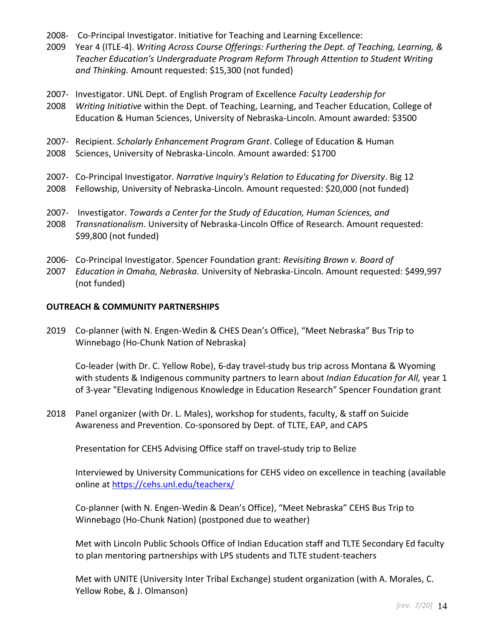- 2008- Co-Principal Investigator. Initiative for Teaching and Learning Excellence:
- 2009 Year 4 (ITLE-4). *Writing Across Course Offerings: Furthering the Dept. of Teaching, Learning, & Teacher Education's Undergraduate Program Reform Through Attention to Student Writing and Thinking.* Amount requested: \$15,300 (not funded)
- 2007- Investigator. UNL Dept. of English Program of Excellence *Faculty Leadership for*
- 2008 *Writing Initiative* within the Dept. of Teaching, Learning, and Teacher Education, College of Education & Human Sciences, University of Nebraska-Lincoln. Amount awarded: \$3500
- 2007- Recipient. *Scholarly Enhancement Program Grant*. College of Education & Human
- 2008 Sciences, University of Nebraska-Lincoln. Amount awarded: \$1700
- 2007- Co-Principal Investigator*. Narrative Inquiry's Relation to Educating for Diversity*. Big 12
- 2008 Fellowship, University of Nebraska-Lincoln. Amount requested: \$20,000 (not funded)
- 2007- Investigator. *Towards a Center for the Study of Education, Human Sciences, and*
- 2008 *Transnationalism.* University of Nebraska-Lincoln Office of Research. Amount requested: \$99,800 (not funded)
- 2006- Co-Principal Investigator. Spencer Foundation grant: *Revisiting Brown v. Board of*
- 2007 *Education in Omaha, Nebraska.* University of Nebraska-Lincoln. Amount requested: \$499,997 (not funded)

### **OUTREACH & COMMUNITY PARTNERSHIPS**

2019 Co-planner (with N. Engen-Wedin & CHES Dean's Office), "Meet Nebraska" Bus Trip to Winnebago (Ho-Chunk Nation of Nebraska)

Co-leader (with Dr. C. Yellow Robe), 6-day travel-study bus trip across Montana & Wyoming with students & Indigenous community partners to learn about *Indian Education for All,* year 1 of 3-year "Elevating Indigenous Knowledge in Education Research" Spencer Foundation grant

2018 Panel organizer (with Dr. L. Males), workshop for students, faculty, & staff on Suicide Awareness and Prevention. Co-sponsored by Dept. of TLTE, EAP, and CAPS

Presentation for CEHS Advising Office staff on travel-study trip to Belize

Interviewed by University Communications for CEHS video on excellence in teaching (available online at<https://cehs.unl.edu/teacherx/>

Co-planner (with N. Engen-Wedin & Dean's Office), "Meet Nebraska" CEHS Bus Trip to Winnebago (Ho-Chunk Nation) (postponed due to weather)

Met with Lincoln Public Schools Office of Indian Education staff and TLTE Secondary Ed faculty to plan mentoring partnerships with LPS students and TLTE student-teachers

Met with UNITE (University Inter Tribal Exchange) student organization (with A. Morales, C. Yellow Robe, & J. Olmanson)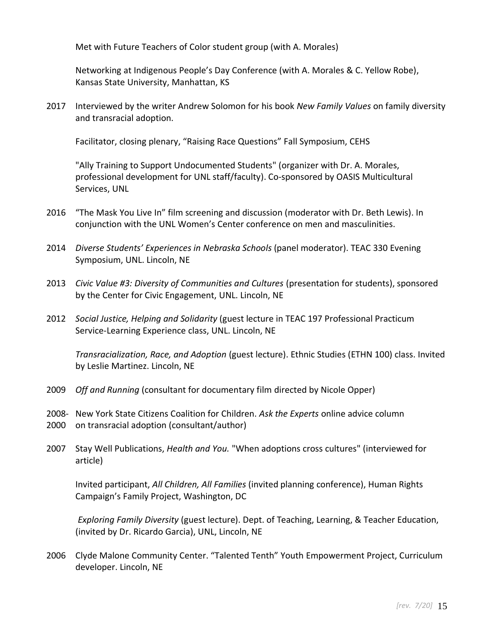Met with Future Teachers of Color student group (with A. Morales)

Networking at Indigenous People's Day Conference (with A. Morales & C. Yellow Robe), Kansas State University, Manhattan, KS

2017 Interviewed by the writer Andrew Solomon for his book *New Family Values* on family diversity and transracial adoption.

Facilitator, closing plenary, "Raising Race Questions" Fall Symposium, CEHS

"Ally Training to Support Undocumented Students" (organizer with Dr. A. Morales, professional development for UNL staff/faculty). Co-sponsored by OASIS Multicultural Services, UNL

- 2016 "The Mask You Live In" film screening and discussion (moderator with Dr. Beth Lewis). In conjunction with the UNL Women's Center conference on men and masculinities.
- 2014 *Diverse Students' Experiences in Nebraska Schools* (panel moderator). TEAC 330 Evening Symposium, UNL. Lincoln, NE
- 2013 *Civic Value #3: Diversity of Communities and Cultures* (presentation for students), sponsored by the Center for Civic Engagement, UNL. Lincoln, NE
- 2012 *Social Justice, Helping and Solidarity* (guest lecture in TEAC 197 Professional Practicum Service-Learning Experience class, UNL. Lincoln, NE

*Transracialization, Race, and Adoption* (guest lecture). Ethnic Studies (ETHN 100) class. Invited by Leslie Martinez. Lincoln, NE

- 2009 *Off and Running* (consultant for documentary film directed by Nicole Opper)
- 2008- New York State Citizens Coalition for Children. *Ask the Experts* online advice column
- 2000 on transracial adoption (consultant/author)
- 2007 Stay Well Publications, *Health and You.* "When adoptions cross cultures" (interviewed for article)

Invited participant, *All Children, All Families* (invited planning conference), Human Rights Campaign's Family Project, Washington, DC

*Exploring Family Diversity* (guest lecture). Dept. of Teaching, Learning, & Teacher Education, (invited by Dr. Ricardo Garcia), UNL, Lincoln, NE

2006 Clyde Malone Community Center. "Talented Tenth" Youth Empowerment Project, Curriculum developer. Lincoln, NE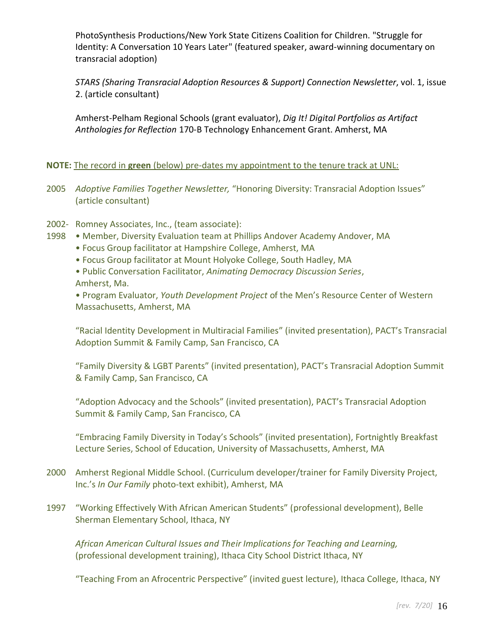PhotoSynthesis Productions/New York State Citizens Coalition for Children. "Struggle for Identity: A Conversation 10 Years Later" (featured speaker, award-winning documentary on transracial adoption)

*STARS (Sharing Transracial Adoption Resources & Support) Connection Newsletter*, vol. 1, issue 2. (article consultant)

Amherst-Pelham Regional Schools (grant evaluator), *Dig It! Digital Portfolios as Artifact Anthologies for Reflection* 170-B Technology Enhancement Grant. Amherst, MA

### **NOTE:** The record in **green** (below) pre-dates my appointment to the tenure track at UNL:

- 2005 *Adoptive Families Together Newsletter,* "Honoring Diversity: Transracial Adoption Issues" (article consultant)
- 2002- Romney Associates, Inc., (team associate):
- 1998 Member, Diversity Evaluation team at Phillips Andover Academy Andover, MA
	- Focus Group facilitator at Hampshire College, Amherst, MA
	- Focus Group facilitator at Mount Holyoke College, South Hadley, MA
	- Public Conversation Facilitator, *Animating Democracy Discussion Series*, Amherst, Ma.

• Program Evaluator, *Youth Development Project* of the Men's Resource Center of Western Massachusetts, Amherst, MA

"Racial Identity Development in Multiracial Families" (invited presentation), PACT's Transracial Adoption Summit & Family Camp, San Francisco, CA

"Family Diversity & LGBT Parents" (invited presentation), PACT's Transracial Adoption Summit & Family Camp, San Francisco, CA

"Adoption Advocacy and the Schools" (invited presentation), PACT's Transracial Adoption Summit & Family Camp, San Francisco, CA

"Embracing Family Diversity in Today's Schools" (invited presentation), Fortnightly Breakfast Lecture Series, School of Education, University of Massachusetts, Amherst, MA

- 2000 Amherst Regional Middle School. (Curriculum developer/trainer for Family Diversity Project, Inc.'s *In Our Family* photo-text exhibit), Amherst, MA
- 1997 "Working Effectively With African American Students" (professional development), Belle Sherman Elementary School, Ithaca, NY

*African American Cultural Issues and Their Implications for Teaching and Learning,* (professional development training), Ithaca City School District Ithaca, NY

"Teaching From an Afrocentric Perspective" (invited guest lecture), Ithaca College, Ithaca, NY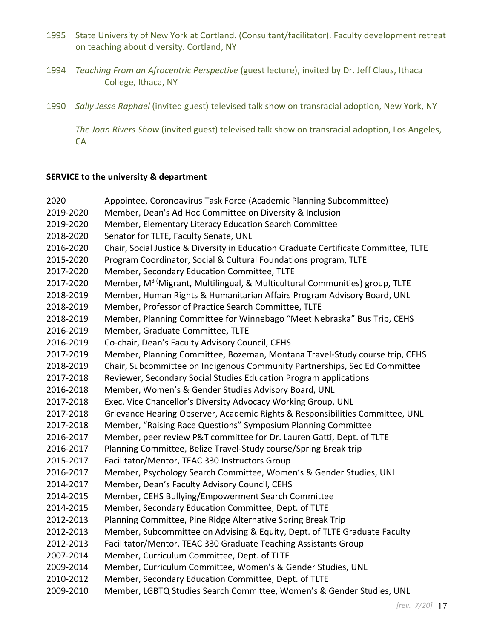- 1995 State University of New York at Cortland. (Consultant/facilitator). Faculty development retreat on teaching about diversity. Cortland, NY
- 1994 *Teaching From an Afrocentric Perspective* (guest lecture), invited by Dr. Jeff Claus, Ithaca College, Ithaca, NY
- 1990 *Sally Jesse Raphael* (invited guest) televised talk show on transracial adoption, New York, NY

*The Joan Rivers Show* (invited guest) televised talk show on transracial adoption, Los Angeles, CA

#### **SERVICE to the university & department**

| 2020      | Appointee, Coronoavirus Task Force (Academic Planning Subcommittee)                      |
|-----------|------------------------------------------------------------------------------------------|
| 2019-2020 | Member, Dean's Ad Hoc Committee on Diversity & Inclusion                                 |
| 2019-2020 | Member, Elementary Literacy Education Search Committee                                   |
| 2018-2020 | Senator for TLTE, Faculty Senate, UNL                                                    |
| 2016-2020 | Chair, Social Justice & Diversity in Education Graduate Certificate Committee, TLTE      |
| 2015-2020 | Program Coordinator, Social & Cultural Foundations program, TLTE                         |
| 2017-2020 | Member, Secondary Education Committee, TLTE                                              |
| 2017-2020 | Member, M <sup>3 (</sup> Migrant, Multilingual, & Multicultural Communities) group, TLTE |
| 2018-2019 | Member, Human Rights & Humanitarian Affairs Program Advisory Board, UNL                  |
| 2018-2019 | Member, Professor of Practice Search Committee, TLTE                                     |
| 2018-2019 | Member, Planning Committee for Winnebago "Meet Nebraska" Bus Trip, CEHS                  |
| 2016-2019 | Member, Graduate Committee, TLTE                                                         |
| 2016-2019 | Co-chair, Dean's Faculty Advisory Council, CEHS                                          |
| 2017-2019 | Member, Planning Committee, Bozeman, Montana Travel-Study course trip, CEHS              |
| 2018-2019 | Chair, Subcommittee on Indigenous Community Partnerships, Sec Ed Committee               |
| 2017-2018 | Reviewer, Secondary Social Studies Education Program applications                        |
| 2016-2018 | Member, Women's & Gender Studies Advisory Board, UNL                                     |
| 2017-2018 | Exec. Vice Chancellor's Diversity Advocacy Working Group, UNL                            |
| 2017-2018 | Grievance Hearing Observer, Academic Rights & Responsibilities Committee, UNL            |
| 2017-2018 | Member, "Raising Race Questions" Symposium Planning Committee                            |
| 2016-2017 | Member, peer review P&T committee for Dr. Lauren Gatti, Dept. of TLTE                    |
| 2016-2017 | Planning Committee, Belize Travel-Study course/Spring Break trip                         |
| 2015-2017 | Facilitator/Mentor, TEAC 330 Instructors Group                                           |
| 2016-2017 | Member, Psychology Search Committee, Women's & Gender Studies, UNL                       |
| 2014-2017 | Member, Dean's Faculty Advisory Council, CEHS                                            |
| 2014-2015 | Member, CEHS Bullying/Empowerment Search Committee                                       |
| 2014-2015 | Member, Secondary Education Committee, Dept. of TLTE                                     |
| 2012-2013 | Planning Committee, Pine Ridge Alternative Spring Break Trip                             |
| 2012-2013 | Member, Subcommittee on Advising & Equity, Dept. of TLTE Graduate Faculty                |
| 2012-2013 | Facilitator/Mentor, TEAC 330 Graduate Teaching Assistants Group                          |
| 2007-2014 | Member, Curriculum Committee, Dept. of TLTE                                              |
| 2009-2014 | Member, Curriculum Committee, Women's & Gender Studies, UNL                              |
| 2010-2012 | Member, Secondary Education Committee, Dept. of TLTE                                     |
| 2009-2010 | Member, LGBTQ Studies Search Committee, Women's & Gender Studies, UNL                    |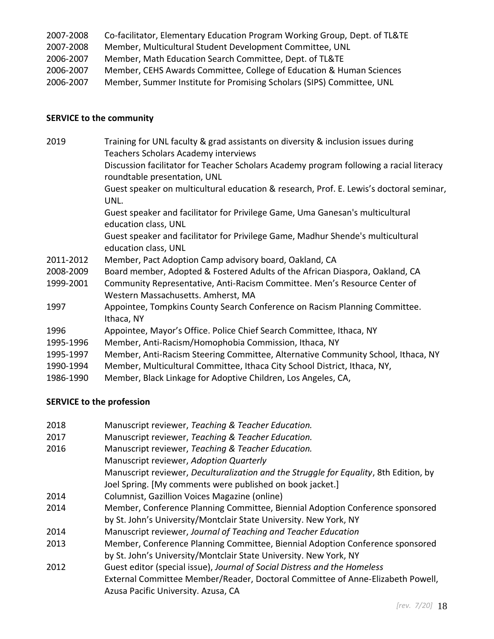| 2007-2008 | Co-facilitator, Elementary Education Program Working Group, Dept. of TL&TE |
|-----------|----------------------------------------------------------------------------|
| 2007-2008 | Member, Multicultural Student Development Committee, UNL                   |
| 2006-2007 | Member, Math Education Search Committee, Dept. of TL&TE                    |
| 2006-2007 | Member, CEHS Awards Committee, College of Education & Human Sciences       |
| 2006-2007 | Member, Summer Institute for Promising Scholars (SIPS) Committee, UNL      |

# **SERVICE to the community**

| 2019      | Training for UNL faculty & grad assistants on diversity & inclusion issues during<br>Teachers Scholars Academy interviews |
|-----------|---------------------------------------------------------------------------------------------------------------------------|
|           | Discussion facilitator for Teacher Scholars Academy program following a racial literacy<br>roundtable presentation, UNL   |
|           | Guest speaker on multicultural education & research, Prof. E. Lewis's doctoral seminar,<br>UNL.                           |
|           | Guest speaker and facilitator for Privilege Game, Uma Ganesan's multicultural<br>education class, UNL                     |
|           | Guest speaker and facilitator for Privilege Game, Madhur Shende's multicultural<br>education class, UNL                   |
| 2011-2012 | Member, Pact Adoption Camp advisory board, Oakland, CA                                                                    |
| 2008-2009 | Board member, Adopted & Fostered Adults of the African Diaspora, Oakland, CA                                              |
| 1999-2001 | Community Representative, Anti-Racism Committee. Men's Resource Center of<br>Western Massachusetts. Amherst, MA           |
| 1997      | Appointee, Tompkins County Search Conference on Racism Planning Committee.<br>Ithaca, NY                                  |
| 1996      | Appointee, Mayor's Office. Police Chief Search Committee, Ithaca, NY                                                      |
| 1995-1996 | Member, Anti-Racism/Homophobia Commission, Ithaca, NY                                                                     |
| 1995-1997 | Member, Anti-Racism Steering Committee, Alternative Community School, Ithaca, NY                                          |
| 1990-1994 | Member, Multicultural Committee, Ithaca City School District, Ithaca, NY,                                                 |
| 1986-1990 | Member, Black Linkage for Adoptive Children, Los Angeles, CA,                                                             |
|           |                                                                                                                           |

# **SERVICE to the profession**

| 2018 | Manuscript reviewer, Teaching & Teacher Education.                                    |
|------|---------------------------------------------------------------------------------------|
| 2017 | Manuscript reviewer, Teaching & Teacher Education.                                    |
| 2016 | Manuscript reviewer, Teaching & Teacher Education.                                    |
|      | Manuscript reviewer, Adoption Quarterly                                               |
|      | Manuscript reviewer, Deculturalization and the Struggle for Equality, 8th Edition, by |
|      | Joel Spring. [My comments were published on book jacket.]                             |
| 2014 | Columnist, Gazillion Voices Magazine (online)                                         |
| 2014 | Member, Conference Planning Committee, Biennial Adoption Conference sponsored         |
|      | by St. John's University/Montclair State University. New York, NY                     |
| 2014 | Manuscript reviewer, Journal of Teaching and Teacher Education                        |
| 2013 | Member, Conference Planning Committee, Biennial Adoption Conference sponsored         |
|      | by St. John's University/Montclair State University. New York, NY                     |
| 2012 | Guest editor (special issue), Journal of Social Distress and the Homeless             |
|      | External Committee Member/Reader, Doctoral Committee of Anne-Elizabeth Powell,        |
|      | Azusa Pacific University. Azusa, CA                                                   |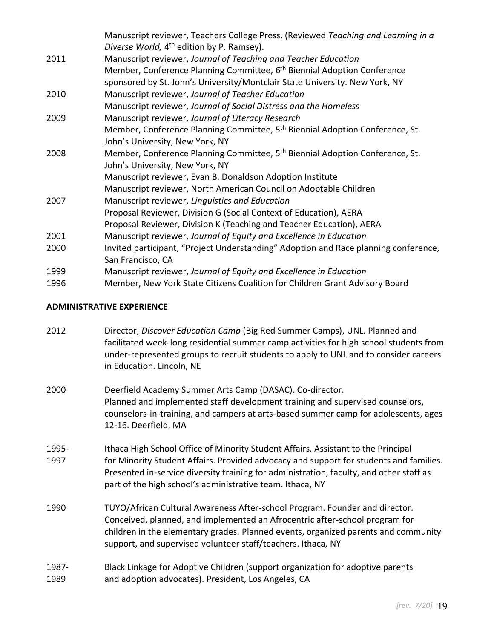|      | Manuscript reviewer, Teachers College Press. (Reviewed Teaching and Learning in a<br>Diverse World, 4 <sup>th</sup> edition by P. Ramsey). |
|------|--------------------------------------------------------------------------------------------------------------------------------------------|
| 2011 | Manuscript reviewer, Journal of Teaching and Teacher Education                                                                             |
|      | Member, Conference Planning Committee, 6 <sup>th</sup> Biennial Adoption Conference                                                        |
|      | sponsored by St. John's University/Montclair State University. New York, NY                                                                |
| 2010 | Manuscript reviewer, Journal of Teacher Education                                                                                          |
|      | Manuscript reviewer, Journal of Social Distress and the Homeless                                                                           |
| 2009 | Manuscript reviewer, Journal of Literacy Research                                                                                          |
|      | Member, Conference Planning Committee, 5 <sup>th</sup> Biennial Adoption Conference, St.                                                   |
|      | John's University, New York, NY                                                                                                            |
| 2008 | Member, Conference Planning Committee, 5 <sup>th</sup> Biennial Adoption Conference, St.                                                   |
|      | John's University, New York, NY                                                                                                            |
|      | Manuscript reviewer, Evan B. Donaldson Adoption Institute                                                                                  |
|      | Manuscript reviewer, North American Council on Adoptable Children                                                                          |
| 2007 | Manuscript reviewer, Linguistics and Education                                                                                             |
|      | Proposal Reviewer, Division G (Social Context of Education), AERA                                                                          |
|      | Proposal Reviewer, Division K (Teaching and Teacher Education), AERA                                                                       |
| 2001 | Manuscript reviewer, Journal of Equity and Excellence in Education                                                                         |
| 2000 | Invited participant, "Project Understanding" Adoption and Race planning conference,                                                        |
|      | San Francisco, CA                                                                                                                          |
| 1999 | Manuscript reviewer, Journal of Equity and Excellence in Education                                                                         |
| 1996 | Member, New York State Citizens Coalition for Children Grant Advisory Board                                                                |

### **ADMINISTRATIVE EXPERIENCE**

| 2012 | Director, Discover Education Camp (Big Red Summer Camps), UNL. Planned and             |
|------|----------------------------------------------------------------------------------------|
|      | facilitated week-long residential summer camp activities for high school students from |
|      | under-represented groups to recruit students to apply to UNL and to consider careers   |
|      | in Education. Lincoln, NE                                                              |
|      |                                                                                        |

- 2000 Deerfield Academy Summer Arts Camp (DASAC). Co-director. Planned and implemented staff development training and supervised counselors, counselors-in-training, and campers at arts-based summer camp for adolescents, ages 12-16. Deerfield, MA
- 1995- Ithaca High School Office of Minority Student Affairs. Assistant to the Principal 1997 for Minority Student Affairs. Provided advocacy and support for students and families. Presented in-service diversity training for administration, faculty, and other staff as part of the high school's administrative team. Ithaca, NY
- 1990 TUYO/African Cultural Awareness After-school Program. Founder and director. Conceived, planned, and implemented an Afrocentric after-school program for children in the elementary grades. Planned events, organized parents and community support, and supervised volunteer staff/teachers. Ithaca, NY
- 1987- Black Linkage for Adoptive Children (support organization for adoptive parents 1989 and adoption advocates). President, Los Angeles, CA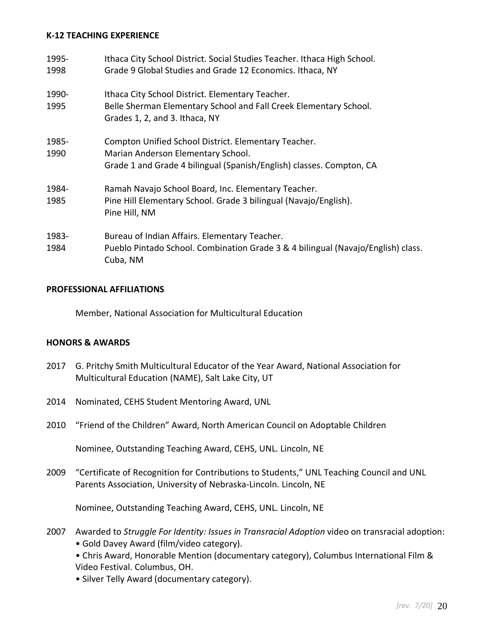#### **K-12 TEACHING EXPERIENCE**

| 1995-<br>1998 | Ithaca City School District. Social Studies Teacher. Ithaca High School.<br>Grade 9 Global Studies and Grade 12 Economics. Ithaca, NY                              |
|---------------|--------------------------------------------------------------------------------------------------------------------------------------------------------------------|
| 1990-<br>1995 | Ithaca City School District. Elementary Teacher.<br>Belle Sherman Elementary School and Fall Creek Elementary School.<br>Grades 1, 2, and 3. Ithaca, NY            |
| 1985-<br>1990 | Compton Unified School District. Elementary Teacher.<br>Marian Anderson Elementary School.<br>Grade 1 and Grade 4 bilingual (Spanish/English) classes. Compton, CA |
| 1984-<br>1985 | Ramah Navajo School Board, Inc. Elementary Teacher.<br>Pine Hill Elementary School. Grade 3 bilingual (Navajo/English).<br>Pine Hill, NM                           |
| 1983-<br>1984 | Bureau of Indian Affairs. Elementary Teacher.<br>Pueblo Pintado School. Combination Grade 3 & 4 bilingual (Navajo/English) class.<br>Cuba, NM                      |

#### **PROFESSIONAL AFFILIATIONS**

Member, National Association for Multicultural Education

#### **HONORS & AWARDS**

- 2017 G. Pritchy Smith Multicultural Educator of the Year Award, National Association for Multicultural Education (NAME), Salt Lake City, UT
- 2014 Nominated, CEHS Student Mentoring Award, UNL
- 2010 "Friend of the Children" Award, North American Council on Adoptable Children

Nominee, Outstanding Teaching Award, CEHS, UNL. Lincoln, NE

2009 "Certificate of Recognition for Contributions to Students," UNL Teaching Council and UNL Parents Association, University of Nebraska-Lincoln. Lincoln, NE

Nominee, Outstanding Teaching Award, CEHS, UNL. Lincoln, NE

- 2007 Awarded to *Struggle For Identity: Issues in Transracial Adoption* video on transracial adoption: • Gold Davey Award (film/video category).
	- Chris Award, Honorable Mention (documentary category), Columbus International Film & Video Festival. Columbus, OH.
	- Silver Telly Award (documentary category).